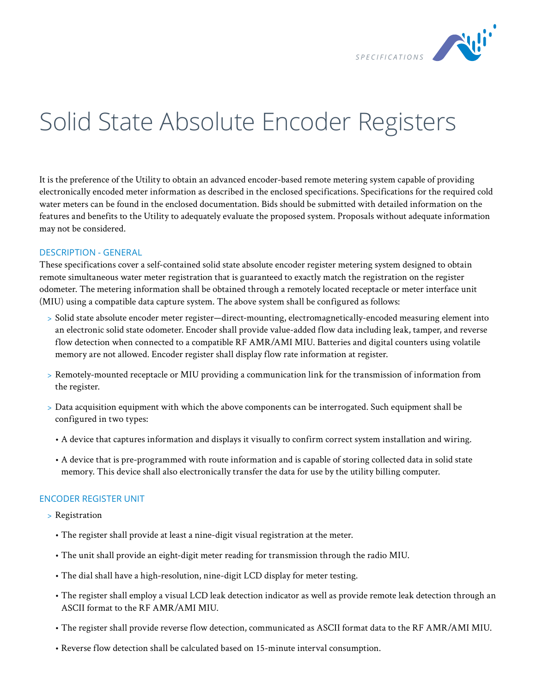

## Solid State Absolute Encoder Registers

It is the preference of the Utility to obtain an advanced encoder-based remote metering system capable of providing electronically encoded meter information as described in the enclosed specifications. Specifications for the required cold water meters can be found in the enclosed documentation. Bids should be submitted with detailed information on the features and benefits to the Utility to adequately evaluate the proposed system. Proposals without adequate information may not be considered.

## DESCRIPTION - GENERAL

These specifications cover a self-contained solid state absolute encoder register metering system designed to obtain remote simultaneous water meter registration that is guaranteed to exactly match the registration on the register odometer. The metering information shall be obtained through a remotely located receptacle or meter interface unit (MIU) using a compatible data capture system. The above system shall be configured as follows:

- > Solid state absolute encoder meter register—direct-mounting, electromagnetically-encoded measuring element into an electronic solid state odometer. Encoder shall provide value-added flow data including leak, tamper, and reverse flow detection when connected to a compatible RF AMR/AMI MIU. Batteries and digital counters using volatile memory are not allowed. Encoder register shall display flow rate information at register.
- > Remotely-mounted receptacle or MIU providing a communication link for the transmission of information from the register.
- > Data acquisition equipment with which the above components can be interrogated. Such equipment shall be configured in two types:
	- A device that captures information and displays it visually to confirm correct system installation and wiring.
	- A device that is pre-programmed with route information and is capable of storing collected data in solid state memory. This device shall also electronically transfer the data for use by the utility billing computer.

## ENCODER REGISTER UNIT

- > Registration
	- The register shall provide at least a nine-digit visual registration at the meter.
	- The unit shall provide an eight-digit meter reading for transmission through the radio MIU.
	- The dial shall have a high-resolution, nine-digit LCD display for meter testing.
	- The register shall employ a visual LCD leak detection indicator as well as provide remote leak detection through an ASCII format to the RF AMR/AMI MIU.
	- The register shall provide reverse flow detection, communicated as ASCII format data to the RF AMR/AMI MIU.
	- Reverse flow detection shall be calculated based on 15-minute interval consumption.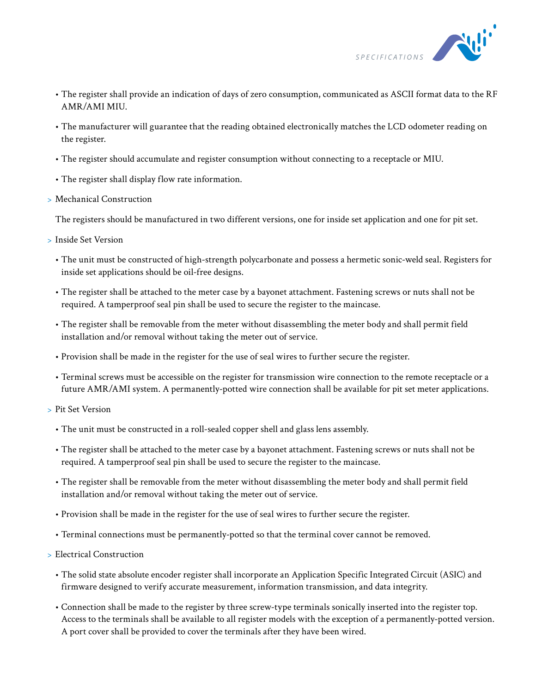

- The register shall provide an indication of days of zero consumption, communicated as ASCII format data to the RF AMR/AMI MIU.
- The manufacturer will guarantee that the reading obtained electronically matches the LCD odometer reading on the register.
- The register should accumulate and register consumption without connecting to a receptacle or MIU.
- The register shall display flow rate information.
- > Mechanical Construction

The registers should be manufactured in two different versions, one for inside set application and one for pit set.

- > Inside Set Version
	- The unit must be constructed of high-strength polycarbonate and possess a hermetic sonic-weld seal. Registers for inside set applications should be oil-free designs.
	- The register shall be attached to the meter case by a bayonet attachment. Fastening screws or nuts shall not be required. A tamperproof seal pin shall be used to secure the register to the maincase.
	- The register shall be removable from the meter without disassembling the meter body and shall permit field installation and/or removal without taking the meter out of service.
	- Provision shall be made in the register for the use of seal wires to further secure the register.
	- Terminal screws must be accessible on the register for transmission wire connection to the remote receptacle or a future AMR/AMI system. A permanently-potted wire connection shall be available for pit set meter applications.
- > Pit Set Version
	- The unit must be constructed in a roll-sealed copper shell and glass lens assembly.
	- The register shall be attached to the meter case by a bayonet attachment. Fastening screws or nuts shall not be required. A tamperproof seal pin shall be used to secure the register to the maincase.
	- The register shall be removable from the meter without disassembling the meter body and shall permit field installation and/or removal without taking the meter out of service.
	- Provision shall be made in the register for the use of seal wires to further secure the register.
	- Terminal connections must be permanently-potted so that the terminal cover cannot be removed.
- > Electrical Construction
	- The solid state absolute encoder register shall incorporate an Application Specific Integrated Circuit (ASIC) and firmware designed to verify accurate measurement, information transmission, and data integrity.
	- Connection shall be made to the register by three screw-type terminals sonically inserted into the register top. Access to the terminals shall be available to all register models with the exception of a permanently-potted version. A port cover shall be provided to cover the terminals after they have been wired.